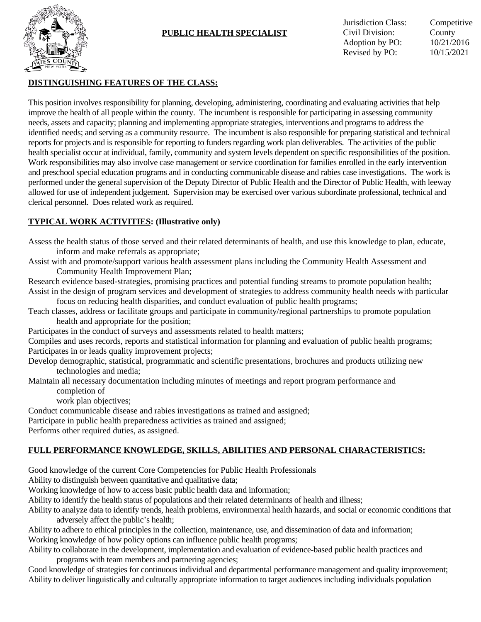

# **PUBLIC HEALTH SPECIALIST**

Jurisdiction Class: Competitive Civil Division: County Adoption by PO: 10/21/2016 Revised by PO: 10/15/2021

### **DISTINGUISHING FEATURES OF THE CLASS:**

This position involves responsibility for planning, developing, administering, coordinating and evaluating activities that help improve the health of all people within the county. The incumbent is responsible for participating in assessing community needs, assets and capacity; planning and implementing appropriate strategies, interventions and programs to address the identified needs; and serving as a community resource. The incumbent is also responsible for preparing statistical and technical reports for projects and is responsible for reporting to funders regarding work plan deliverables. The activities of the public health specialist occur at individual, family, community and system levels dependent on specific responsibilities of the position. Work responsibilities may also involve case management or service coordination for families enrolled in the early intervention and preschool special education programs and in conducting communicable disease and rabies case investigations. The work is performed under the general supervision of the Deputy Director of Public Health and the Director of Public Health, with leeway allowed for use of independent judgement. Supervision may be exercised over various subordinate professional, technical and clerical personnel. Does related work as required.

### **TYPICAL WORK ACTIVITIES: (Illustrative only)**

Assess the health status of those served and their related determinants of health, and use this knowledge to plan, educate, inform and make referrals as appropriate;

Assist with and promote/support various health assessment plans including the Community Health Assessment and Community Health Improvement Plan;

Research evidence based-strategies, promising practices and potential funding streams to promote population health; Assist in the design of program services and development of strategies to address community health needs with particular

focus on reducing health disparities, and conduct evaluation of public health programs;

Teach classes, address or facilitate groups and participate in community/regional partnerships to promote population health and appropriate for the position;

Participates in the conduct of surveys and assessments related to health matters;

Compiles and uses records, reports and statistical information for planning and evaluation of public health programs; Participates in or leads quality improvement projects;

Develop demographic, statistical, programmatic and scientific presentations, brochures and products utilizing new technologies and media;

Maintain all necessary documentation including minutes of meetings and report program performance and completion of

work plan objectives;

Conduct communicable disease and rabies investigations as trained and assigned;

Participate in public health preparedness activities as trained and assigned;

Performs other required duties, as assigned.

#### **FULL PERFORMANCE KNOWLEDGE, SKILLS, ABILITIES AND PERSONAL CHARACTERISTICS:**

Good knowledge of the current Core Competencies for Public Health Professionals

Ability to distinguish between quantitative and qualitative data;

Working knowledge of how to access basic public health data and information;

Ability to identify the health status of populations and their related determinants of health and illness;

Ability to analyze data to identify trends, health problems, environmental health hazards, and social or economic conditions that adversely affect the public's health;

Ability to adhere to ethical principles in the collection, maintenance, use, and dissemination of data and information; Working knowledge of how policy options can influence public health programs;

Ability to collaborate in the development, implementation and evaluation of evidence-based public health practices and programs with team members and partnering agencies;

Good knowledge of strategies for continuous individual and departmental performance management and quality improvement; Ability to deliver linguistically and culturally appropriate information to target audiences including individuals population